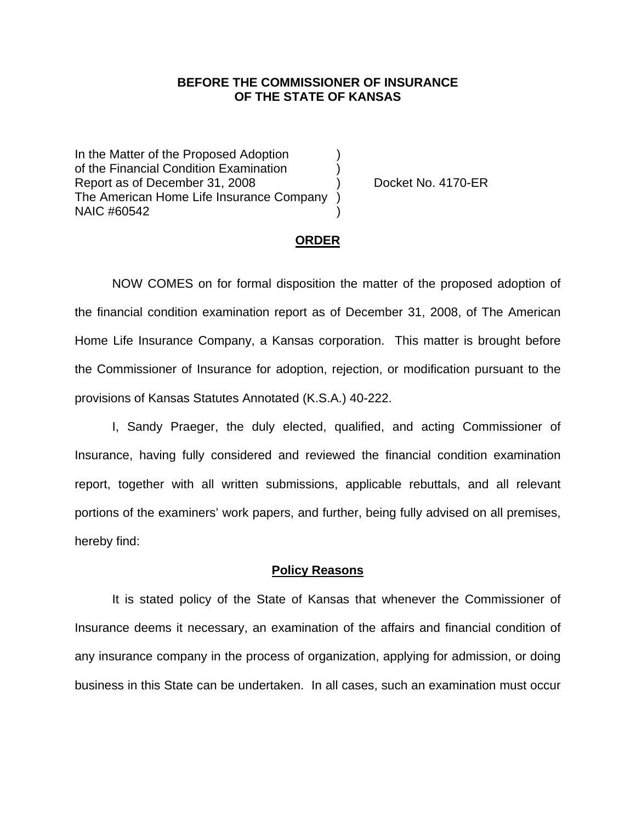## **BEFORE THE COMMISSIONER OF INSURANCE OF THE STATE OF KANSAS**

In the Matter of the Proposed Adoption of the Financial Condition Examination ) Report as of December 31, 2008 (a) Docket No. 4170-ER The American Home Life Insurance Company ) NAIC #60542 )

#### **ORDER**

 NOW COMES on for formal disposition the matter of the proposed adoption of the financial condition examination report as of December 31, 2008, of The American Home Life Insurance Company, a Kansas corporation. This matter is brought before the Commissioner of Insurance for adoption, rejection, or modification pursuant to the provisions of Kansas Statutes Annotated (K.S.A.) 40-222.

 I, Sandy Praeger, the duly elected, qualified, and acting Commissioner of Insurance, having fully considered and reviewed the financial condition examination report, together with all written submissions, applicable rebuttals, and all relevant portions of the examiners' work papers, and further, being fully advised on all premises, hereby find:

### **Policy Reasons**

 It is stated policy of the State of Kansas that whenever the Commissioner of Insurance deems it necessary, an examination of the affairs and financial condition of any insurance company in the process of organization, applying for admission, or doing business in this State can be undertaken. In all cases, such an examination must occur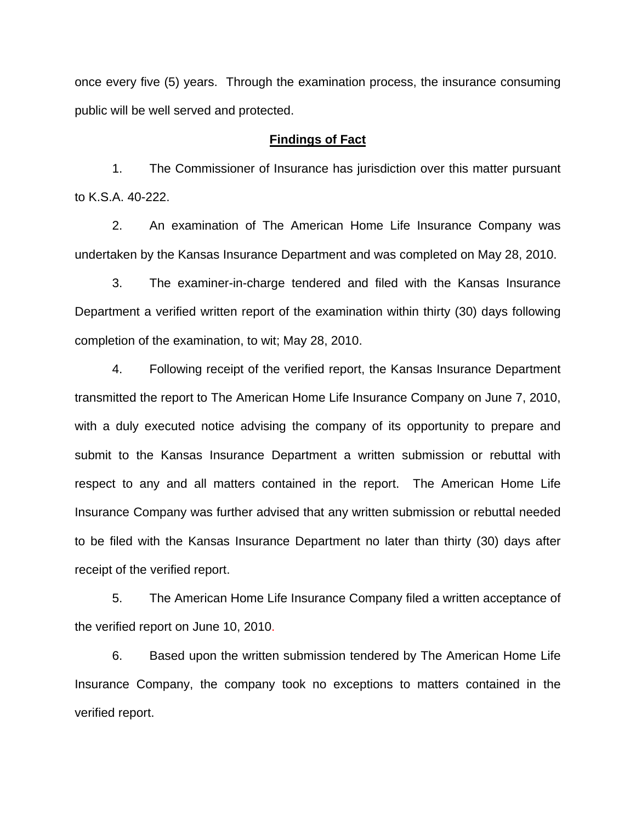once every five (5) years. Through the examination process, the insurance consuming public will be well served and protected.

### **Findings of Fact**

 1. The Commissioner of Insurance has jurisdiction over this matter pursuant to K.S.A. 40-222.

 2. An examination of The American Home Life Insurance Company was undertaken by the Kansas Insurance Department and was completed on May 28, 2010.

 3. The examiner-in-charge tendered and filed with the Kansas Insurance Department a verified written report of the examination within thirty (30) days following completion of the examination, to wit; May 28, 2010.

 4. Following receipt of the verified report, the Kansas Insurance Department transmitted the report to The American Home Life Insurance Company on June 7, 2010, with a duly executed notice advising the company of its opportunity to prepare and submit to the Kansas Insurance Department a written submission or rebuttal with respect to any and all matters contained in the report. The American Home Life Insurance Company was further advised that any written submission or rebuttal needed to be filed with the Kansas Insurance Department no later than thirty (30) days after receipt of the verified report.

 5. The American Home Life Insurance Company filed a written acceptance of the verified report on June 10, 2010.

6. Based upon the written submission tendered by The American Home Life Insurance Company, the company took no exceptions to matters contained in the verified report.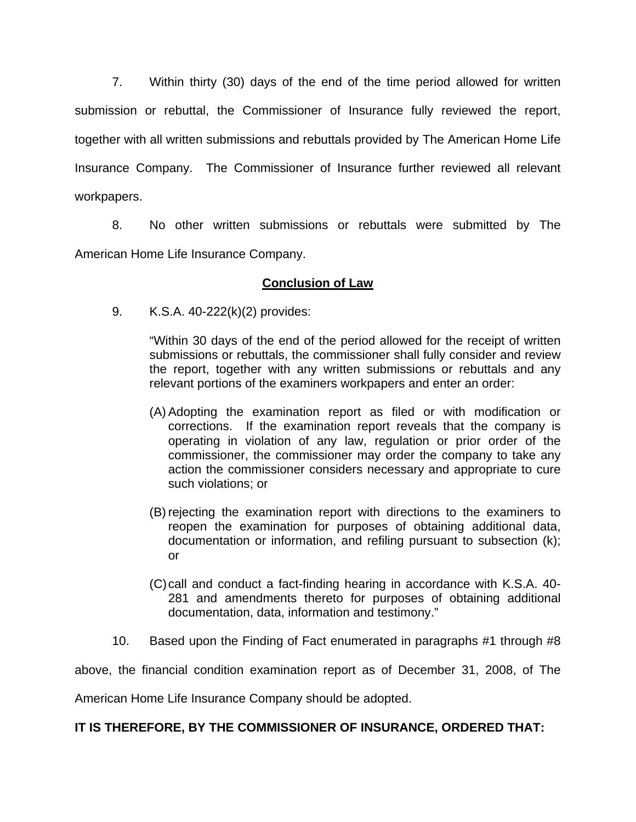7. Within thirty (30) days of the end of the time period allowed for written submission or rebuttal, the Commissioner of Insurance fully reviewed the report, together with all written submissions and rebuttals provided by The American Home Life Insurance Company. The Commissioner of Insurance further reviewed all relevant workpapers.

 8. No other written submissions or rebuttals were submitted by The American Home Life Insurance Company.

# **Conclusion of Law**

9. K.S.A. 40-222(k)(2) provides:

"Within 30 days of the end of the period allowed for the receipt of written submissions or rebuttals, the commissioner shall fully consider and review the report, together with any written submissions or rebuttals and any relevant portions of the examiners workpapers and enter an order:

- (A) Adopting the examination report as filed or with modification or corrections. If the examination report reveals that the company is operating in violation of any law, regulation or prior order of the commissioner, the commissioner may order the company to take any action the commissioner considers necessary and appropriate to cure such violations; or
- (B) rejecting the examination report with directions to the examiners to reopen the examination for purposes of obtaining additional data, documentation or information, and refiling pursuant to subsection (k); or
- (C) call and conduct a fact-finding hearing in accordance with K.S.A. 40- 281 and amendments thereto for purposes of obtaining additional documentation, data, information and testimony."
- 10. Based upon the Finding of Fact enumerated in paragraphs #1 through #8

above, the financial condition examination report as of December 31, 2008, of The

American Home Life Insurance Company should be adopted.

## **IT IS THEREFORE, BY THE COMMISSIONER OF INSURANCE, ORDERED THAT:**